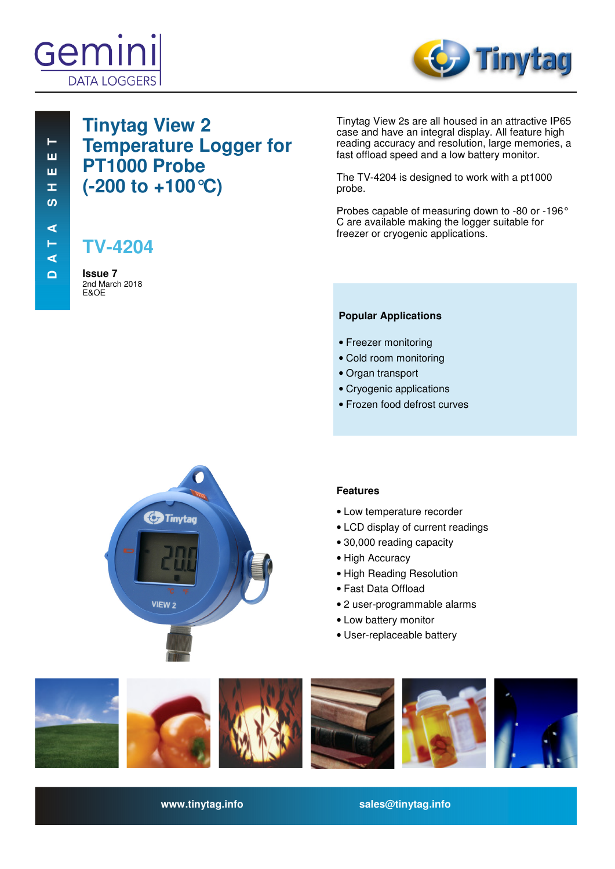



# **Tinytag View 2 Temperature Logger for PT1000 Probe (-200 to +100°C)**

**TV-4204**

**Issue 7**  2nd March 2018 E&OE

Tinytag View 2s are all housed in an attractive IP65 case and have an integral display. All feature high reading accuracy and resolution, large memories, a fast offload speed and a low battery monitor.

The TV-4204 is designed to work with a pt1000 probe.

Probes capable of measuring down to -80 or -196° C are available making the logger suitable for freezer or cryogenic applications.

### **Popular Applications**

- Freezer monitoring
- Cold room monitoring
- Organ transport
- Cryogenic applications
- Frozen food defrost curves



### **Features**

- Low temperature recorder
- LCD display of current readings
- 30,000 reading capacity
- High Accuracy
- High Reading Resolution
- Fast Data Offload
- 2 user-programmable alarms
- Low battery monitor
- User-replaceable battery



**www.tinytag.info sales@tinytag.info**